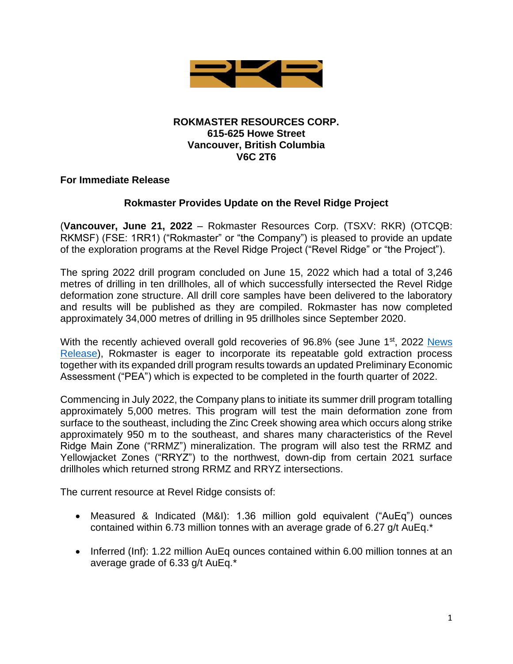

### **ROKMASTER RESOURCES CORP. 615-625 Howe Street Vancouver, British Columbia V6C 2T6**

## **For Immediate Release**

## **Rokmaster Provides Update on the Revel Ridge Project**

(**Vancouver, June 21, 2022** – Rokmaster Resources Corp. (TSXV: RKR) (OTCQB: RKMSF) (FSE: 1RR1) ("Rokmaster" or "the Company") is pleased to provide an update of the exploration programs at the Revel Ridge Project ("Revel Ridge" or "the Project").

The spring 2022 drill program concluded on June 15, 2022 which had a total of 3,246 metres of drilling in ten drillholes, all of which successfully intersected the Revel Ridge deformation zone structure. All drill core samples have been delivered to the laboratory and results will be published as they are compiled. Rokmaster has now completed approximately 34,000 metres of drilling in 95 drillholes since September 2020.

With the recently achieved overall gold recoveries of  $96.8\%$  (see June 1st, 2022 News [Release\)](https://rokmaster.com/news/rokmaster-solves-metallurgy-at-revel-ridge-achieves-overall-gold-recovery-of-96.8/), Rokmaster is eager to incorporate its repeatable gold extraction process together with its expanded drill program results towards an updated Preliminary Economic Assessment ("PEA") which is expected to be completed in the fourth quarter of 2022.

Commencing in July 2022, the Company plans to initiate its summer drill program totalling approximately 5,000 metres. This program will test the main deformation zone from surface to the southeast, including the Zinc Creek showing area which occurs along strike approximately 950 m to the southeast, and shares many characteristics of the Revel Ridge Main Zone ("RRMZ") mineralization. The program will also test the RRMZ and Yellowjacket Zones ("RRYZ") to the northwest, down-dip from certain 2021 surface drillholes which returned strong RRMZ and RRYZ intersections.

The current resource at Revel Ridge consists of:

- Measured & Indicated (M&I): 1.36 million gold equivalent ("AuEq") ounces contained within 6.73 million tonnes with an average grade of 6.27 g/t AuEq.\*
- Inferred (Inf): 1.22 million AuEq ounces contained within 6.00 million tonnes at an average grade of 6.33 g/t AuEq.\*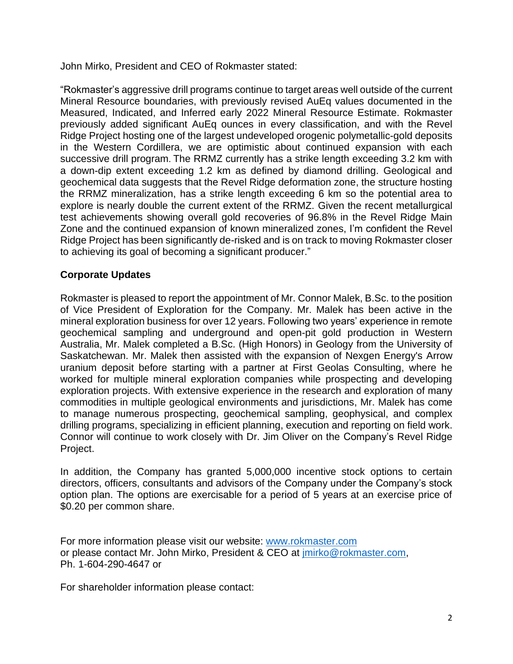John Mirko, President and CEO of Rokmaster stated:

"Rokmaster's aggressive drill programs continue to target areas well outside of the current Mineral Resource boundaries, with previously revised AuEq values documented in the Measured, Indicated, and Inferred early 2022 Mineral Resource Estimate. Rokmaster previously added significant AuEq ounces in every classification, and with the Revel Ridge Project hosting one of the largest undeveloped orogenic polymetallic-gold deposits in the Western Cordillera, we are optimistic about continued expansion with each successive drill program. The RRMZ currently has a strike length exceeding 3.2 km with a down-dip extent exceeding 1.2 km as defined by diamond drilling. Geological and geochemical data suggests that the Revel Ridge deformation zone, the structure hosting the RRMZ mineralization, has a strike length exceeding 6 km so the potential area to explore is nearly double the current extent of the RRMZ. Given the recent metallurgical test achievements showing overall gold recoveries of 96.8% in the Revel Ridge Main Zone and the continued expansion of known mineralized zones, I'm confident the Revel Ridge Project has been significantly de-risked and is on track to moving Rokmaster closer to achieving its goal of becoming a significant producer."

# **Corporate Updates**

Rokmaster is pleased to report the appointment of Mr. Connor Malek, B.Sc. to the position of Vice President of Exploration for the Company. Mr. Malek has been active in the mineral exploration business for over 12 years. Following two years' experience in remote geochemical sampling and underground and open-pit gold production in Western Australia, Mr. Malek completed a B.Sc. (High Honors) in Geology from the University of Saskatchewan. Mr. Malek then assisted with the expansion of Nexgen Energy's Arrow uranium deposit before starting with a partner at First Geolas Consulting, where he worked for multiple mineral exploration companies while prospecting and developing exploration projects. With extensive experience in the research and exploration of many commodities in multiple geological environments and jurisdictions, Mr. Malek has come to manage numerous prospecting, geochemical sampling, geophysical, and complex drilling programs, specializing in efficient planning, execution and reporting on field work. Connor will continue to work closely with Dr. Jim Oliver on the Company's Revel Ridge Project.

In addition, the Company has granted 5,000,000 incentive stock options to certain directors, officers, consultants and advisors of the Company under the Company's stock option plan. The options are exercisable for a period of 5 years at an exercise price of \$0.20 per common share.

For more information please visit our website: [www.rokmaster.com](http://www.rokmaster.com/) or please contact Mr. John Mirko, President & CEO at [jmirko@rokmaster.com,](mailto:jmirko@rokmaster.com) Ph. 1-604-290-4647 or

For shareholder information please contact: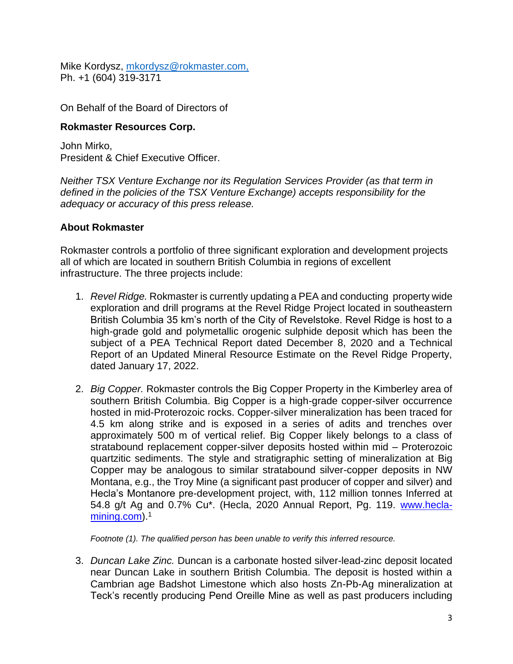Mike Kordysz, [mkordysz@rokmaster.com,](mailto:mkordysz@rokmaster.com) Ph. +1 (604) 319-3171

On Behalf of the Board of Directors of

## **Rokmaster Resources Corp.**

John Mirko, President & Chief Executive Officer.

*Neither TSX Venture Exchange nor its Regulation Services Provider (as that term in defined in the policies of the TSX Venture Exchange) accepts responsibility for the adequacy or accuracy of this press release.* 

## **About Rokmaster**

Rokmaster controls a portfolio of three significant exploration and development projects all of which are located in southern British Columbia in regions of excellent infrastructure. The three projects include:

- 1. *Revel Ridge.* Rokmaster is currently updating a PEA and conducting property wide exploration and drill programs at the Revel Ridge Project located in southeastern British Columbia 35 km's north of the City of Revelstoke. Revel Ridge is host to a high-grade gold and polymetallic orogenic sulphide deposit which has been the subject of a PEA Technical Report dated December 8, 2020 and a Technical Report of an Updated Mineral Resource Estimate on the Revel Ridge Property, dated January 17, 2022.
- 2. *Big Copper.* Rokmaster controls the Big Copper Property in the Kimberley area of southern British Columbia. Big Copper is a high-grade copper-silver occurrence hosted in mid-Proterozoic rocks. Copper-silver mineralization has been traced for 4.5 km along strike and is exposed in a series of adits and trenches over approximately 500 m of vertical relief. Big Copper likely belongs to a class of stratabound replacement copper-silver deposits hosted within mid – Proterozoic quartzitic sediments. The style and stratigraphic setting of mineralization at Big Copper may be analogous to similar stratabound silver-copper deposits in NW Montana, e.g., the Troy Mine (a significant past producer of copper and silver) and Hecla's Montanore pre-development project, with, 112 million tonnes Inferred at 54.8 g/t Ag and 0.7% Cu\*. (Hecla, 2020 Annual Report, Pg. 119. [www.hecla](http://www.hecla-mining.com/)[mining.com\)](http://www.hecla-mining.com/).<sup>1</sup>

*Footnote (1). The qualified person has been unable to verify this inferred resource.*

3. *Duncan Lake Zinc.* Duncan is a carbonate hosted silver-lead-zinc deposit located near Duncan Lake in southern British Columbia. The deposit is hosted within a Cambrian age Badshot Limestone which also hosts Zn-Pb-Ag mineralization at Teck's recently producing Pend Oreille Mine as well as past producers including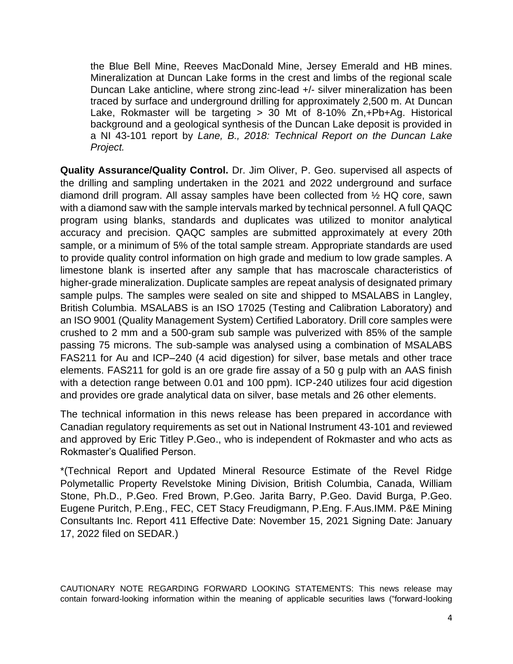the Blue Bell Mine, Reeves MacDonald Mine, Jersey Emerald and HB mines. Mineralization at Duncan Lake forms in the crest and limbs of the regional scale Duncan Lake anticline, where strong zinc-lead +/- silver mineralization has been traced by surface and underground drilling for approximately 2,500 m. At Duncan Lake, Rokmaster will be targeting > 30 Mt of 8-10% Zn,+Pb+Ag. Historical background and a geological synthesis of the Duncan Lake deposit is provided in a NI 43-101 report by *Lane, B., 2018: Technical Report on the Duncan Lake Project.* 

**Quality Assurance/Quality Control.** Dr. Jim Oliver, P. Geo. supervised all aspects of the drilling and sampling undertaken in the 2021 and 2022 underground and surface diamond drill program. All assay samples have been collected from ½ HQ core, sawn with a diamond saw with the sample intervals marked by technical personnel. A full QAQC program using blanks, standards and duplicates was utilized to monitor analytical accuracy and precision. QAQC samples are submitted approximately at every 20th sample, or a minimum of 5% of the total sample stream. Appropriate standards are used to provide quality control information on high grade and medium to low grade samples. A limestone blank is inserted after any sample that has macroscale characteristics of higher-grade mineralization. Duplicate samples are repeat analysis of designated primary sample pulps. The samples were sealed on site and shipped to MSALABS in Langley, British Columbia. MSALABS is an ISO 17025 (Testing and Calibration Laboratory) and an ISO 9001 (Quality Management System) Certified Laboratory. Drill core samples were crushed to 2 mm and a 500-gram sub sample was pulverized with 85% of the sample passing 75 microns. The sub-sample was analysed using a combination of MSALABS FAS211 for Au and ICP–240 (4 acid digestion) for silver, base metals and other trace elements. FAS211 for gold is an ore grade fire assay of a 50 g pulp with an AAS finish with a detection range between 0.01 and 100 ppm). ICP-240 utilizes four acid digestion and provides ore grade analytical data on silver, base metals and 26 other elements.

The technical information in this news release has been prepared in accordance with Canadian regulatory requirements as set out in National Instrument 43-101 and reviewed and approved by Eric Titley P.Geo., who is independent of Rokmaster and who acts as Rokmaster's Qualified Person.

\*(Technical Report and Updated Mineral Resource Estimate of the Revel Ridge Polymetallic Property Revelstoke Mining Division, British Columbia, Canada, William Stone, Ph.D., P.Geo. Fred Brown, P.Geo. Jarita Barry, P.Geo. David Burga, P.Geo. Eugene Puritch, P.Eng., FEC, CET Stacy Freudigmann, P.Eng. F.Aus.IMM. P&E Mining Consultants Inc. Report 411 Effective Date: November 15, 2021 Signing Date: January 17, 2022 filed on SEDAR.)

CAUTIONARY NOTE REGARDING FORWARD LOOKING STATEMENTS: This news release may contain forward-looking information within the meaning of applicable securities laws ("forward-looking